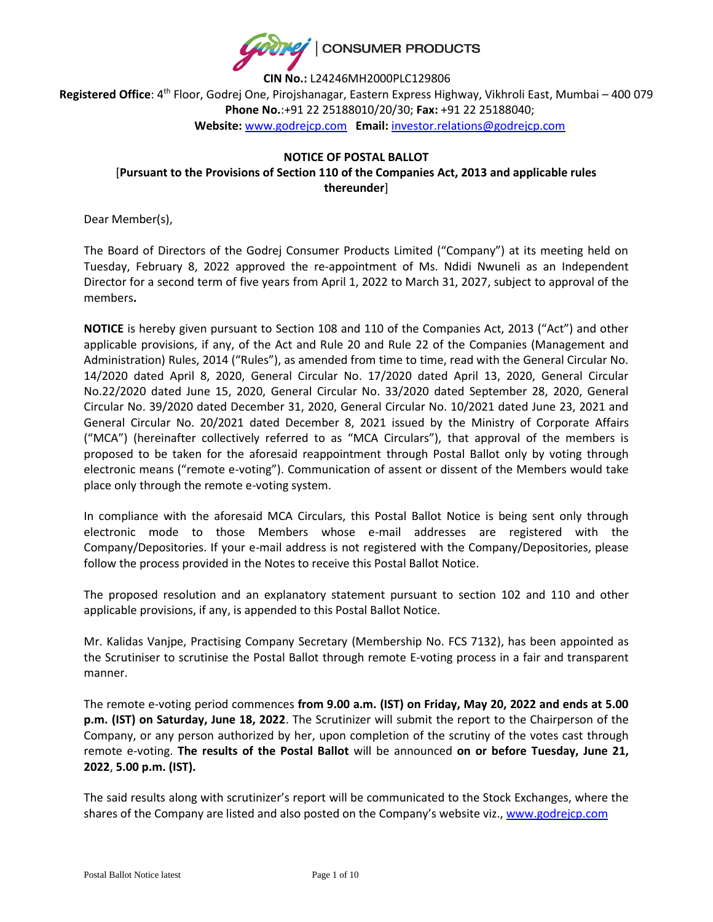

**CIN No.:** L24246MH2000PLC129806 **Registered Office**: 4 th Floor, Godrej One, Pirojshanagar, Eastern Express Highway, Vikhroli East, Mumbai – 400 079 **Phone No.**:+91 22 25188010/20/30; **Fax:** +91 22 25188040; **Website:** [www.godrejcp.com](http://www.godrejcp.com/) **Email:** [investor.relations@godrejcp.com](mailto:investor.relations@godrejcp.com)

# **NOTICE OF POSTAL BALLOT** [**Pursuant to the Provisions of Section 110 of the Companies Act, 2013 and applicable rules thereunder**]

Dear Member(s),

The Board of Directors of the Godrej Consumer Products Limited ("Company") at its meeting held on Tuesday, February 8, 2022 approved the re-appointment of Ms. Ndidi Nwuneli as an Independent Director for a second term of five years from April 1, 2022 to March 31, 2027, subject to approval of the members**.**

**NOTICE** is hereby given pursuant to Section 108 and 110 of the Companies Act, 2013 ("Act") and other applicable provisions, if any, of the Act and Rule 20 and Rule 22 of the Companies (Management and Administration) Rules, 2014 ("Rules"), as amended from time to time, read with the General Circular No. 14/2020 dated April 8, 2020, General Circular No. 17/2020 dated April 13, 2020, General Circular No.22/2020 dated June 15, 2020, General Circular No. 33/2020 dated September 28, 2020, General Circular No. 39/2020 dated December 31, 2020, General Circular No. 10/2021 dated June 23, 2021 and General Circular No. 20/2021 dated December 8, 2021 issued by the Ministry of Corporate Affairs ("MCA") (hereinafter collectively referred to as "MCA Circulars"), that approval of the members is proposed to be taken for the aforesaid reappointment through Postal Ballot only by voting through electronic means ("remote e-voting"). Communication of assent or dissent of the Members would take place only through the remote e-voting system.

In compliance with the aforesaid MCA Circulars, this Postal Ballot Notice is being sent only through electronic mode to those Members whose e-mail addresses are registered with the Company/Depositories. If your e-mail address is not registered with the Company/Depositories, please follow the process provided in the Notes to receive this Postal Ballot Notice.

The proposed resolution and an explanatory statement pursuant to section 102 and 110 and other applicable provisions, if any, is appended to this Postal Ballot Notice.

Mr. Kalidas Vanjpe, Practising Company Secretary (Membership No. FCS 7132), has been appointed as the Scrutiniser to scrutinise the Postal Ballot through remote E-voting process in a fair and transparent manner.

The remote e-voting period commences **from 9.00 a.m. (IST) on Friday, May 20, 2022 and ends at 5.00 p.m. (IST) on Saturday, June 18, 2022**. The Scrutinizer will submit the report to the Chairperson of the Company, or any person authorized by her, upon completion of the scrutiny of the votes cast through remote e-voting. **The results of the Postal Ballot** will be announced **on or before Tuesday, June 21, 2022**, **5.00 p.m. (IST).**

The said results along with scrutinizer's report will be communicated to the Stock Exchanges, where the shares of the Company are listed and also posted on the Company's website viz., [www.godrejcp.com](http://www.godrejcp.com/)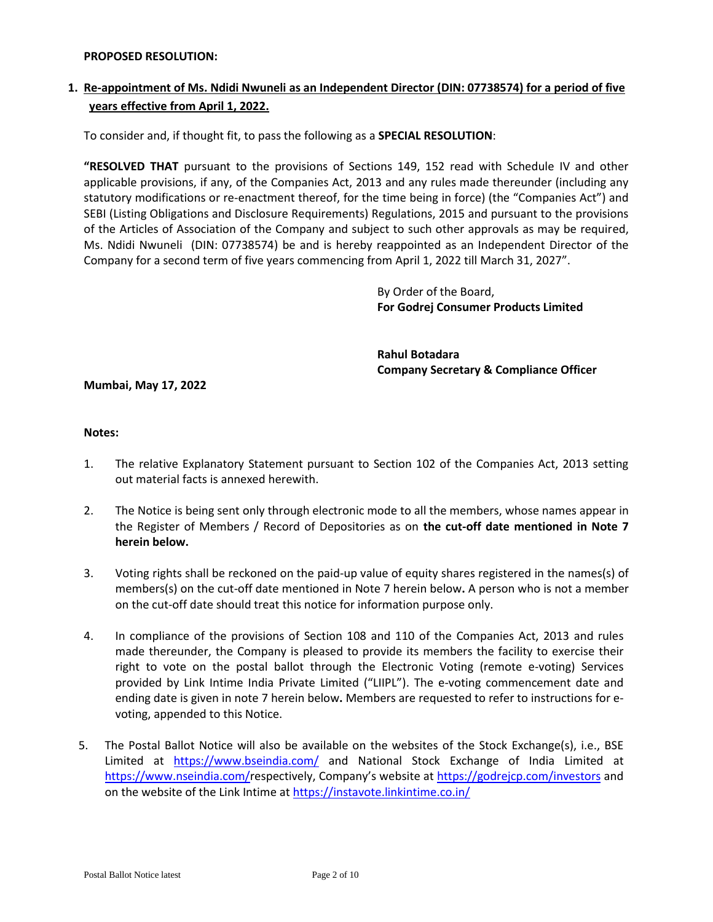#### **PROPOSED RESOLUTION:**

# **1. Re-appointment of Ms. Ndidi Nwuneli as an Independent Director (DIN: 07738574) for a period of five years effective from April 1, 2022.**

To consider and, if thought fit, to pass the following as a **SPECIAL RESOLUTION**:

**"RESOLVED THAT** pursuant to the provisions of Sections 149, 152 read with Schedule IV and other applicable provisions, if any, of the Companies Act, 2013 and any rules made thereunder (including any statutory modifications or re-enactment thereof, for the time being in force) (the "Companies Act") and SEBI (Listing Obligations and Disclosure Requirements) Regulations, 2015 and pursuant to the provisions of the Articles of Association of the Company and subject to such other approvals as may be required, Ms. Ndidi Nwuneli (DIN: 07738574) be and is hereby reappointed as an Independent Director of the Company for a second term of five years commencing from April 1, 2022 till March 31, 2027".

> By Order of the Board, **For Godrej Consumer Products Limited**

**Rahul Botadara Company Secretary & Compliance Officer**

#### **Mumbai, May 17, 2022**

#### **Notes:**

- 1. The relative Explanatory Statement pursuant to Section 102 of the Companies Act, 2013 setting out material facts is annexed herewith.
- 2. The Notice is being sent only through electronic mode to all the members, whose names appear in the Register of Members / Record of Depositories as on **the cut-off date mentioned in Note 7 herein below.**
- 3. Voting rights shall be reckoned on the paid-up value of equity shares registered in the names(s) of members(s) on the cut-off date mentioned in Note 7 herein below**.** A person who is not a member on the cut-off date should treat this notice for information purpose only.
- 4. In compliance of the provisions of Section 108 and 110 of the Companies Act, 2013 and rules made thereunder, the Company is pleased to provide its members the facility to exercise their right to vote on the postal ballot through the Electronic Voting (remote e-voting) Services provided by Link Intime India Private Limited ("LIIPL"). The e-voting commencement date and ending date is given in note 7 herein below**.** Members are requested to refer to instructions for evoting, appended to this Notice.
- 5. The Postal Ballot Notice will also be available on the websites of the Stock Exchange(s), i.e., BSE Limited at <https://www.bseindia.com/> and National Stock Exchange of India Limited at <https://www.nseindia.com/>respectively, Company's website at<https://godrejcp.com/investors> and on the website of the Link Intime a[t https://instavote.linkintime.co.in/](https://instavote.linkintime.co.in/)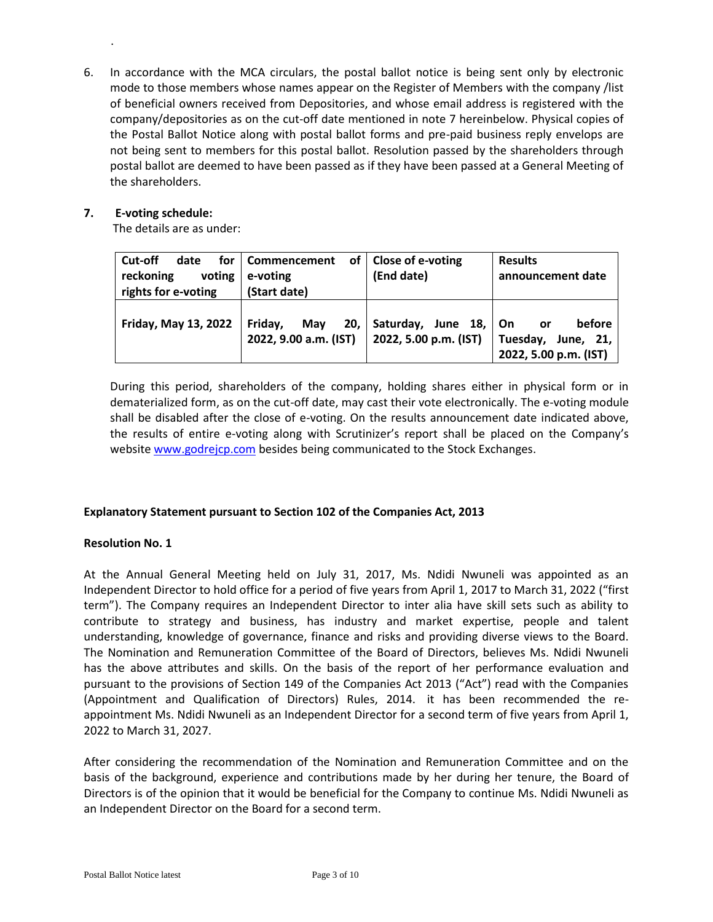6. In accordance with the MCA circulars, the postal ballot notice is being sent only by electronic mode to those members whose names appear on the Register of Members with the company /list of beneficial owners received from Depositories, and whose email address is registered with the company/depositories as on the cut-off date mentioned in note 7 hereinbelow. Physical copies of the Postal Ballot Notice along with postal ballot forms and pre-paid business reply envelops are not being sent to members for this postal ballot. Resolution passed by the shareholders through postal ballot are deemed to have been passed as if they have been passed at a General Meeting of the shareholders.

## **7. E-voting schedule:**

.

The details are as under:

| Cut-off<br>date<br>reckoning<br>voting<br>rights for e-voting | for   Commencement<br>of I<br>e-voting<br>(Start date) | Close of e-voting<br>(End date)                | <b>Results</b><br>announcement date                         |
|---------------------------------------------------------------|--------------------------------------------------------|------------------------------------------------|-------------------------------------------------------------|
| <b>Friday, May 13, 2022</b>                                   | Friday,<br>May<br>20,<br>2022, 9.00 a.m. (IST)         | Saturday, June 18, On<br>2022, 5.00 p.m. (IST) | before<br>or<br>Tuesday, June, 21,<br>2022, 5.00 p.m. (IST) |

During this period, shareholders of the company, holding shares either in physical form or in dematerialized form, as on the cut-off date, may cast their vote electronically. The e-voting module shall be disabled after the close of e-voting. On the results announcement date indicated above, the results of entire e-voting along with Scrutinizer's report shall be placed on the Company's website [www.godrejcp.com](http://www.godrejcp.com/) besides being communicated to the Stock Exchanges.

## **Explanatory Statement pursuant to Section 102 of the Companies Act, 2013**

## **Resolution No. 1**

At the Annual General Meeting held on July 31, 2017, Ms. Ndidi Nwuneli was appointed as an Independent Director to hold office for a period of five years from April 1, 2017 to March 31, 2022 ("first term"). The Company requires an Independent Director to inter alia have skill sets such as ability to contribute to strategy and business, has industry and market expertise, people and talent understanding, knowledge of governance, finance and risks and providing diverse views to the Board. The Nomination and Remuneration Committee of the Board of Directors, believes Ms. Ndidi Nwuneli has the above attributes and skills. On the basis of the report of her performance evaluation and pursuant to the provisions of Section 149 of the Companies Act 2013 ("Act") read with the Companies (Appointment and Qualification of Directors) Rules, 2014. it has been recommended the reappointment Ms. Ndidi Nwuneli as an Independent Director for a second term of five years from April 1, 2022 to March 31, 2027.

After considering the recommendation of the Nomination and Remuneration Committee and on the basis of the background, experience and contributions made by her during her tenure, the Board of Directors is of the opinion that it would be beneficial for the Company to continue Ms. Ndidi Nwuneli as an Independent Director on the Board for a second term.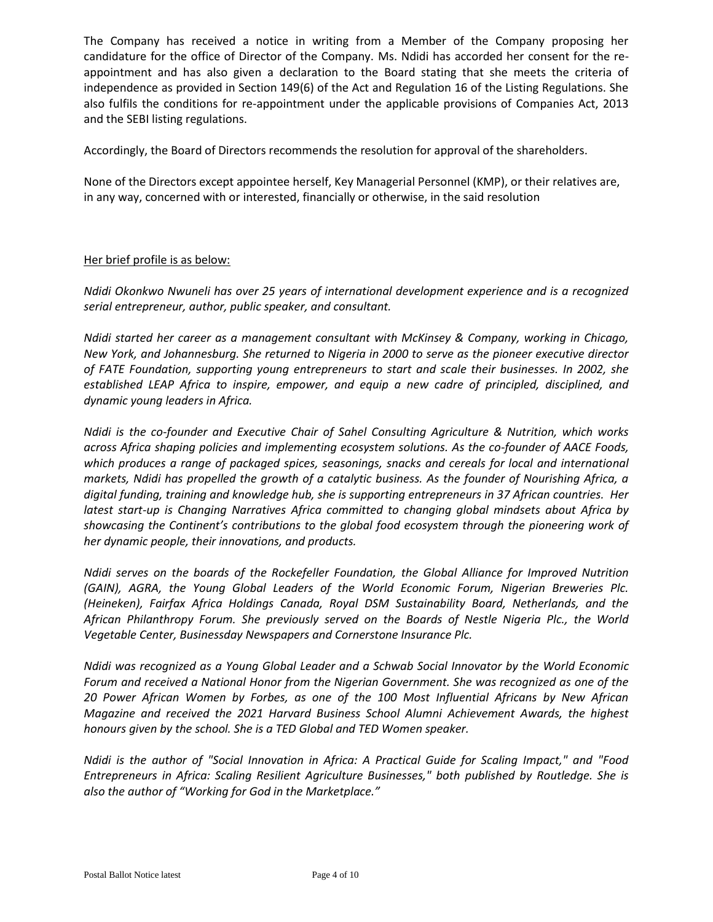The Company has received a notice in writing from a Member of the Company proposing her candidature for the office of Director of the Company. Ms. Ndidi has accorded her consent for the reappointment and has also given a declaration to the Board stating that she meets the criteria of independence as provided in Section 149(6) of the Act and Regulation 16 of the Listing Regulations. She also fulfils the conditions for re-appointment under the applicable provisions of Companies Act, 2013 and the SEBI listing regulations.

Accordingly, the Board of Directors recommends the resolution for approval of the shareholders.

None of the Directors except appointee herself, Key Managerial Personnel (KMP), or their relatives are, in any way, concerned with or interested, financially or otherwise, in the said resolution

## Her brief profile is as below:

*Ndidi Okonkwo Nwuneli has over 25 years of international development experience and is a recognized serial entrepreneur, author, public speaker, and consultant.* 

*Ndidi started her career as a management consultant with McKinsey & Company, working in Chicago, New York, and Johannesburg. She returned to Nigeria in 2000 to serve as the pioneer executive director of FATE Foundation, supporting young entrepreneurs to start and scale their businesses. In 2002, she established LEAP Africa to inspire, empower, and equip a new cadre of principled, disciplined, and dynamic young leaders in Africa.* 

*Ndidi is the co-founder and Executive Chair of Sahel Consulting Agriculture & Nutrition, which works across Africa shaping policies and implementing ecosystem solutions. As the co-founder of AACE Foods, which produces a range of packaged spices, seasonings, snacks and cereals for local and international markets, Ndidi has propelled the growth of a catalytic business. As the founder of Nourishing Africa, a digital funding, training and knowledge hub, she is supporting entrepreneurs in 37 African countries. Her latest start-up is Changing Narratives Africa committed to changing global mindsets about Africa by showcasing the Continent's contributions to the global food ecosystem through the pioneering work of her dynamic people, their innovations, and products.*

*Ndidi serves on the boards of the Rockefeller Foundation, the Global Alliance for Improved Nutrition (GAIN), AGRA, the Young Global Leaders of the World Economic Forum, Nigerian Breweries Plc. (Heineken), Fairfax Africa Holdings Canada, Royal DSM Sustainability Board, Netherlands, and the African Philanthropy Forum. She previously served on the Boards of Nestle Nigeria Plc., the World Vegetable Center, Businessday Newspapers and Cornerstone Insurance Plc.*

*Ndidi was recognized as a Young Global Leader and a Schwab Social Innovator by the World Economic Forum and received a National Honor from the Nigerian Government. She was recognized as one of the 20 Power African Women by Forbes, as one of the 100 Most Influential Africans by New African Magazine and received the 2021 Harvard Business School Alumni Achievement Awards, the highest honours given by the school. She is a TED Global and TED Women speaker.*

*Ndidi is the author of "Social Innovation in Africa: A Practical Guide for Scaling Impact," and "Food Entrepreneurs in Africa: Scaling Resilient Agriculture Businesses," both published by Routledge. She is also the author of "Working for God in the Marketplace."*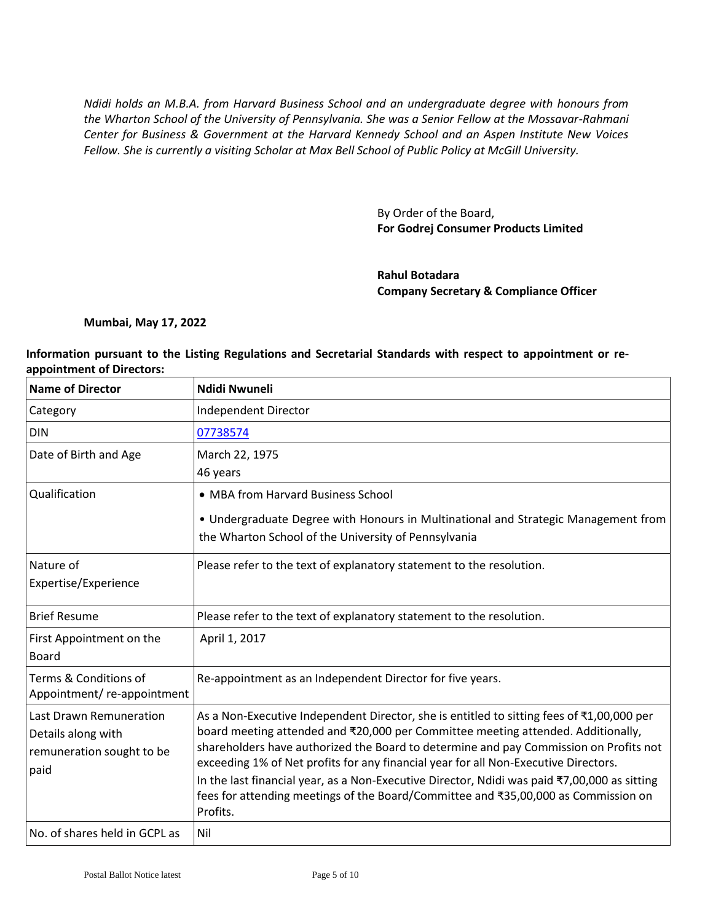*Ndidi holds an M.B.A. from Harvard Business School and an undergraduate degree with honours from the Wharton School of the University of Pennsylvania. She was a Senior Fellow at the Mossavar-Rahmani Center for Business & Government at the Harvard Kennedy School and an Aspen Institute New Voices Fellow. She is currently a visiting Scholar at Max Bell School of Public Policy at McGill University.*

> By Order of the Board, **For Godrej Consumer Products Limited**

**Rahul Botadara Company Secretary & Compliance Officer**

#### **Mumbai, May 17, 2022**

#### **Information pursuant to the Listing Regulations and Secretarial Standards with respect to appointment or reappointment of Directors:**

| <b>Name of Director</b>                                                            | <b>Ndidi Nwuneli</b>                                                                                                                                                                                                                                                                                                                                                                                                                                                                                                                                            |
|------------------------------------------------------------------------------------|-----------------------------------------------------------------------------------------------------------------------------------------------------------------------------------------------------------------------------------------------------------------------------------------------------------------------------------------------------------------------------------------------------------------------------------------------------------------------------------------------------------------------------------------------------------------|
| Category                                                                           | Independent Director                                                                                                                                                                                                                                                                                                                                                                                                                                                                                                                                            |
| <b>DIN</b>                                                                         | 07738574                                                                                                                                                                                                                                                                                                                                                                                                                                                                                                                                                        |
| Date of Birth and Age                                                              | March 22, 1975<br>46 years                                                                                                                                                                                                                                                                                                                                                                                                                                                                                                                                      |
| Qualification                                                                      | • MBA from Harvard Business School<br>• Undergraduate Degree with Honours in Multinational and Strategic Management from<br>the Wharton School of the University of Pennsylvania                                                                                                                                                                                                                                                                                                                                                                                |
| Nature of<br>Expertise/Experience                                                  | Please refer to the text of explanatory statement to the resolution.                                                                                                                                                                                                                                                                                                                                                                                                                                                                                            |
| <b>Brief Resume</b>                                                                | Please refer to the text of explanatory statement to the resolution.                                                                                                                                                                                                                                                                                                                                                                                                                                                                                            |
| First Appointment on the<br><b>Board</b>                                           | April 1, 2017                                                                                                                                                                                                                                                                                                                                                                                                                                                                                                                                                   |
| Terms & Conditions of<br>Appointment/re-appointment                                | Re-appointment as an Independent Director for five years.                                                                                                                                                                                                                                                                                                                                                                                                                                                                                                       |
| Last Drawn Remuneration<br>Details along with<br>remuneration sought to be<br>paid | As a Non-Executive Independent Director, she is entitled to sitting fees of ₹1,00,000 per<br>board meeting attended and ₹20,000 per Committee meeting attended. Additionally,<br>shareholders have authorized the Board to determine and pay Commission on Profits not<br>exceeding 1% of Net profits for any financial year for all Non-Executive Directors.<br>In the last financial year, as a Non-Executive Director, Ndidi was paid ₹7,00,000 as sitting<br>fees for attending meetings of the Board/Committee and ₹35,00,000 as Commission on<br>Profits. |
| No. of shares held in GCPL as                                                      | Nil                                                                                                                                                                                                                                                                                                                                                                                                                                                                                                                                                             |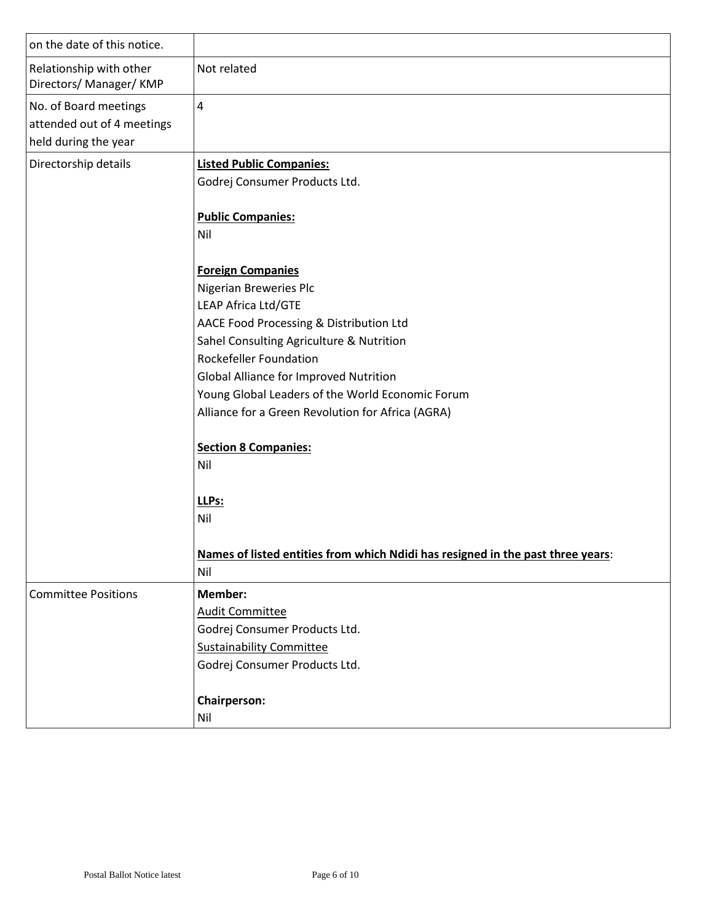| on the date of this notice.                                                 |                                                                                                                                                                                                                                                                                                                                                                                            |
|-----------------------------------------------------------------------------|--------------------------------------------------------------------------------------------------------------------------------------------------------------------------------------------------------------------------------------------------------------------------------------------------------------------------------------------------------------------------------------------|
| Relationship with other<br>Directors/ Manager/ KMP                          | Not related                                                                                                                                                                                                                                                                                                                                                                                |
| No. of Board meetings<br>attended out of 4 meetings<br>held during the year | $\overline{4}$                                                                                                                                                                                                                                                                                                                                                                             |
| Directorship details                                                        | <b>Listed Public Companies:</b><br>Godrej Consumer Products Ltd.                                                                                                                                                                                                                                                                                                                           |
|                                                                             | <b>Public Companies:</b><br>Nil                                                                                                                                                                                                                                                                                                                                                            |
|                                                                             | <b>Foreign Companies</b><br>Nigerian Breweries Plc<br>LEAP Africa Ltd/GTE<br>AACE Food Processing & Distribution Ltd<br>Sahel Consulting Agriculture & Nutrition<br><b>Rockefeller Foundation</b><br>Global Alliance for Improved Nutrition<br>Young Global Leaders of the World Economic Forum<br>Alliance for a Green Revolution for Africa (AGRA)<br><b>Section 8 Companies:</b><br>Nil |
|                                                                             | LLPs:<br>Nil<br>Names of listed entities from which Ndidi has resigned in the past three years:<br>Nil                                                                                                                                                                                                                                                                                     |
| <b>Committee Positions</b>                                                  | Member:<br><b>Audit Committee</b><br>Godrej Consumer Products Ltd.<br><b>Sustainability Committee</b><br>Godrej Consumer Products Ltd.                                                                                                                                                                                                                                                     |
|                                                                             | <b>Chairperson:</b><br>Nil                                                                                                                                                                                                                                                                                                                                                                 |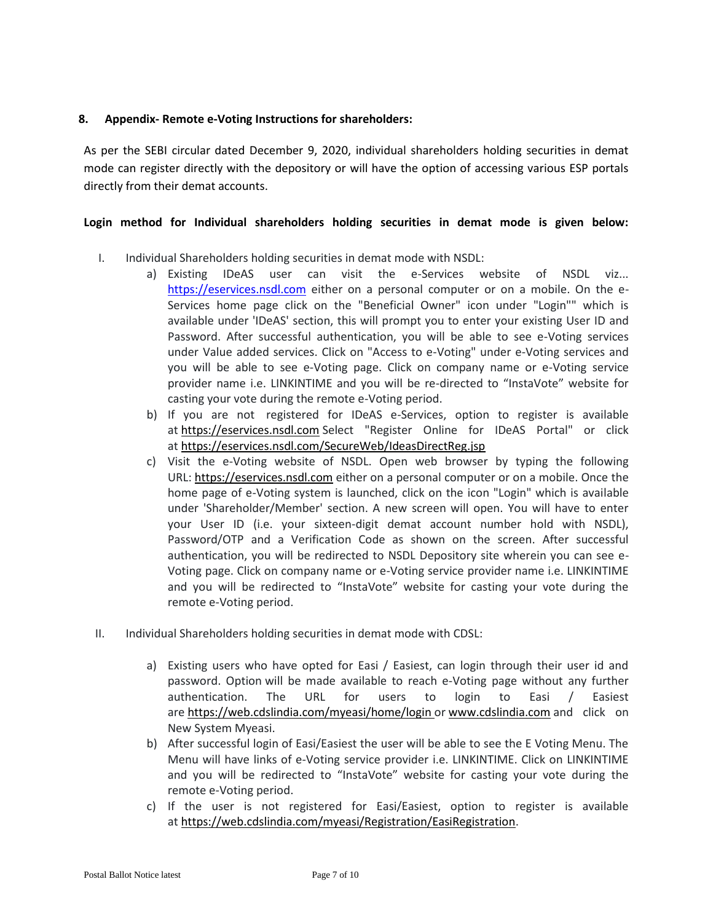## **8. Appendix- Remote e-Voting Instructions for shareholders:**

As per the SEBI circular dated December 9, 2020, individual shareholders holding securities in demat mode can register directly with the depository or will have the option of accessing various ESP portals directly from their demat accounts.

## **Login method for Individual shareholders holding securities in demat mode is given below:**

- I. Individual Shareholders holding securities in demat mode with NSDL:
	- a) Existing IDeAS user can visit the e-Services website of NSDL viz... [https://eservices.nsdl.com](https://eservices.nsdl.com/) either on a personal computer or on a mobile. On the e-Services home page click on the "Beneficial Owner" icon under "Login"" which is available under 'IDeAS' section, this will prompt you to enter your existing User ID and Password. After successful authentication, you will be able to see e-Voting services under Value added services. Click on "Access to e-Voting" under e-Voting services and you will be able to see e-Voting page. Click on company name or e-Voting service provider name i.e. LINKINTIME and you will be re-directed to "InstaVote" website for casting your vote during the remote e-Voting period.
	- b) If you are not registered for IDeAS e-Services, option to register is available at [https://eservices.nsdl.com](https://eservices.nsdl.com/) Select "Register Online for IDeAS Portal" or click at <https://eservices.nsdl.com/SecureWeb/IdeasDirectReg.jsp>
	- c) Visit the e-Voting website of NSDL. Open web browser by typing the following URL: [https://eservices.nsdl.com](https://eservices.nsdl.com/) either on a personal computer or on a mobile. Once the home page of e-Voting system is launched, click on the icon "Login" which is available under 'Shareholder/Member' section. A new screen will open. You will have to enter your User ID (i.e. your sixteen-digit demat account number hold with NSDL), Password/OTP and a Verification Code as shown on the screen. After successful authentication, you will be redirected to NSDL Depository site wherein you can see e-Voting page. Click on company name or e-Voting service provider name i.e. LINKINTIME and you will be redirected to "InstaVote" website for casting your vote during the remote e-Voting period.
- II. Individual Shareholders holding securities in demat mode with CDSL:
	- a) Existing users who have opted for Easi / Easiest, can login through their user id and password. Option will be made available to reach e-Voting page without any further authentication. The URL for users to login to Easi / Easiest are <https://web.cdslindia.com/myeasi/home/login> or [www.cdslindia.com](https://www.cdslindia.com/) and click on New System Myeasi.
	- b) After successful login of Easi/Easiest the user will be able to see the E Voting Menu. The Menu will have links of e-Voting service provider i.e. LINKINTIME. Click on LINKINTIME and you will be redirected to "InstaVote" website for casting your vote during the remote e-Voting period.
	- c) If the user is not registered for Easi/Easiest, option to register is available at [https://web.cdslindia.com/myeasi/Registration/EasiRegistration.](https://web.cdslindia.com/myeasi/Registration/EasiRegistration)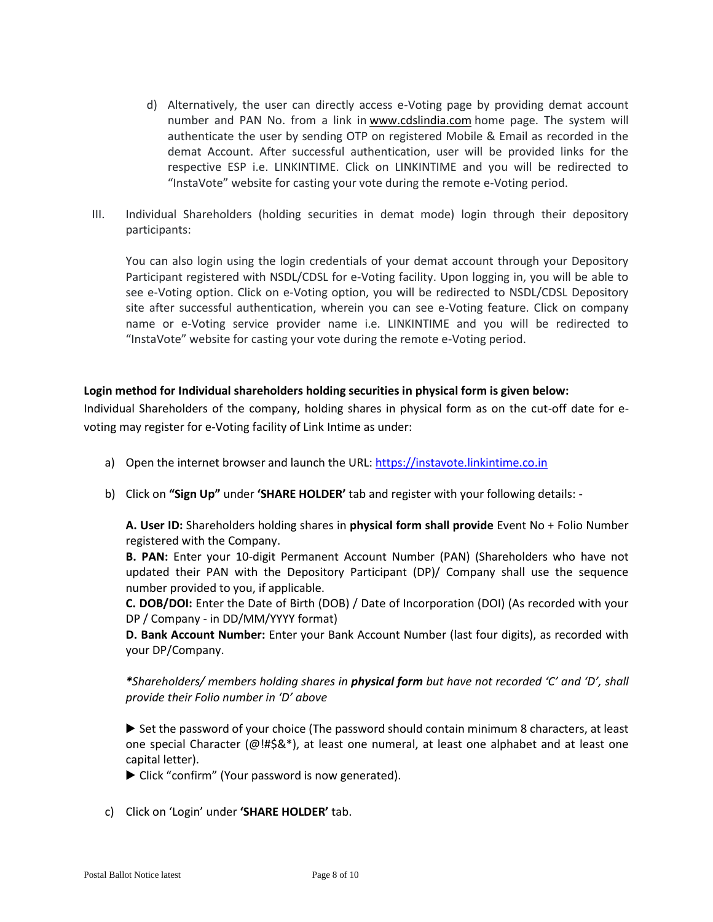- d) Alternatively, the user can directly access e-Voting page by providing demat account number and PAN No. from a link in [www.cdslindia.com](https://www.cdslindia.com/) home page. The system will authenticate the user by sending OTP on registered Mobile & Email as recorded in the demat Account. After successful authentication, user will be provided links for the respective ESP i.e. LINKINTIME. Click on LINKINTIME and you will be redirected to "InstaVote" website for casting your vote during the remote e-Voting period.
- III. Individual Shareholders (holding securities in demat mode) login through their depository participants:

You can also login using the login credentials of your demat account through your Depository Participant registered with NSDL/CDSL for e-Voting facility. Upon logging in, you will be able to see e-Voting option. Click on e-Voting option, you will be redirected to NSDL/CDSL Depository site after successful authentication, wherein you can see e-Voting feature. Click on company name or e-Voting service provider name i.e. LINKINTIME and you will be redirected to "InstaVote" website for casting your vote during the remote e-Voting period.

## **Login method for Individual shareholders holding securities in physical form is given below:**

Individual Shareholders of the company, holding shares in physical form as on the cut-off date for evoting may register for e-Voting facility of Link Intime as under:

- a) Open the internet browser and launch the URL: [https://instavote.linkintime.co.in](https://instavote.linkintime.co.in/)
- b) Click on **"Sign Up"** under **'SHARE HOLDER'** tab and register with your following details: -

**A. User ID:** Shareholders holding shares in **physical form shall provide** Event No + Folio Number registered with the Company.

**B. PAN:** Enter your 10-digit Permanent Account Number (PAN) (Shareholders who have not updated their PAN with the Depository Participant (DP)/ Company shall use the sequence number provided to you, if applicable.

**C. DOB/DOI:** Enter the Date of Birth (DOB) / Date of Incorporation (DOI) (As recorded with your DP / Company - in DD/MM/YYYY format)

**D. Bank Account Number:** Enter your Bank Account Number (last four digits), as recorded with your DP/Company.

*\*Shareholders/ members holding shares in physical form but have not recorded 'C' and 'D', shall provide their Folio number in 'D' above*

▶ Set the password of your choice (The password should contain minimum 8 characters, at least one special Character (@!#\$&\*), at least one numeral, at least one alphabet and at least one capital letter).

- ▶ Click "confirm" (Your password is now generated).
- c) Click on 'Login' under **'SHARE HOLDER'** tab.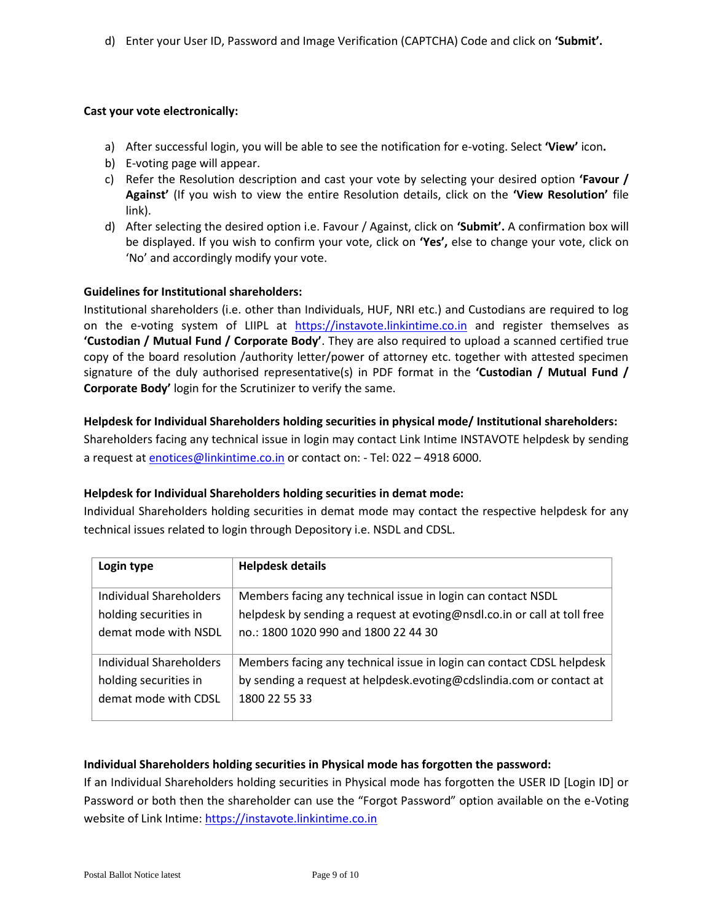d) Enter your User ID, Password and Image Verification (CAPTCHA) Code and click on **'Submit'.** 

#### **Cast your vote electronically:**

- a) After successful login, you will be able to see the notification for e-voting. Select **'View'** icon**.**
- b) E-voting page will appear.
- c) Refer the Resolution description and cast your vote by selecting your desired option **'Favour / Against'** (If you wish to view the entire Resolution details, click on the **'View Resolution'** file link).
- d) After selecting the desired option i.e. Favour / Against, click on **'Submit'.** A confirmation box will be displayed. If you wish to confirm your vote, click on **'Yes',** else to change your vote, click on 'No' and accordingly modify your vote.

#### **Guidelines for Institutional shareholders:**

Institutional shareholders (i.e. other than Individuals, HUF, NRI etc.) and Custodians are required to log on the e-voting system of LIIPL at [https://instavote.linkintime.co.in](https://instavote.linkintime.co.in/) and register themselves as **'Custodian / Mutual Fund / Corporate Body'**. They are also required to upload a scanned certified true copy of the board resolution /authority letter/power of attorney etc. together with attested specimen signature of the duly authorised representative(s) in PDF format in the **'Custodian / Mutual Fund / Corporate Body'** login for the Scrutinizer to verify the same.

#### **Helpdesk for Individual Shareholders holding securities in physical mode/ Institutional shareholders:**

Shareholders facing any technical issue in login may contact Link Intime INSTAVOTE helpdesk by sending a request at [enotices@linkintime.co.in](mailto:enotices@linkintime.co.in) or contact on: - Tel: 022 – 4918 6000.

#### **Helpdesk for Individual Shareholders holding securities in demat mode:**

Individual Shareholders holding securities in demat mode may contact the respective helpdesk for any technical issues related to login through Depository i.e. NSDL and CDSL.

| Login type              | <b>Helpdesk details</b>                                                  |
|-------------------------|--------------------------------------------------------------------------|
| Individual Shareholders | Members facing any technical issue in login can contact NSDL             |
| holding securities in   | helpdesk by sending a request at evoting@nsdl.co.in or call at toll free |
| demat mode with NSDL    | no.: 1800 1020 990 and 1800 22 44 30                                     |
| Individual Shareholders | Members facing any technical issue in login can contact CDSL helpdesk    |
| holding securities in   | by sending a request at helpdesk.evoting@cdslindia.com or contact at     |
| demat mode with CDSL    | 1800 22 55 33                                                            |

## **Individual Shareholders holding securities in Physical mode has forgotten the password:**

If an Individual Shareholders holding securities in Physical mode has forgotten the USER ID [Login ID] or Password or both then the shareholder can use the "Forgot Password" option available on the e-Voting website of Link Intime: [https://instavote.linkintime.co.in](https://instavote.linkintime.co.in/)